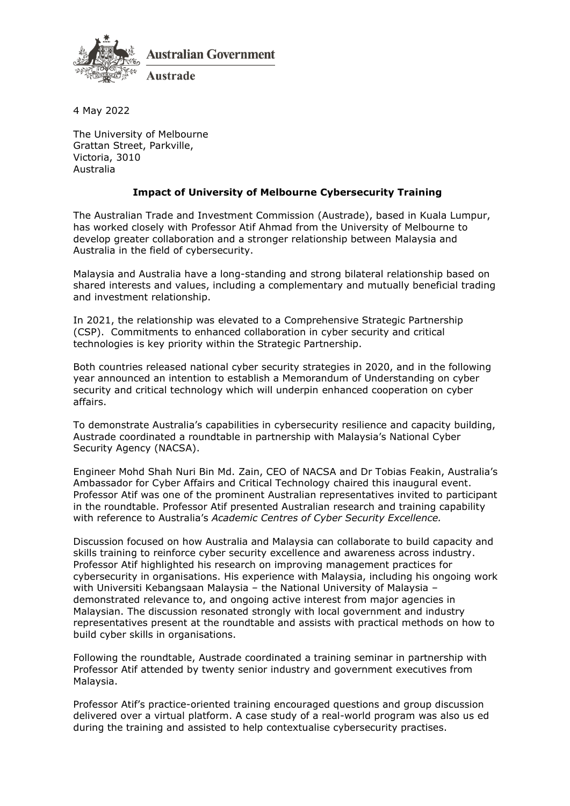

**Australian Government** 

4 May 2022

The University of Melbourne Grattan Street, Parkville, Victoria, 3010 Australia

## **Impact of University of Melbourne Cybersecurity Training**

The Australian Trade and Investment Commission (Austrade), based in Kuala Lumpur, has worked closely with Professor Atif Ahmad from the University of Melbourne to develop greater collaboration and a stronger relationship between Malaysia and Australia in the field of cybersecurity.

Malaysia and Australia have a long-standing and strong bilateral relationship based on shared interests and values, including a complementary and mutually beneficial trading and investment relationship.

In 2021, the relationship was elevated to a Comprehensive Strategic Partnership (CSP). Commitments to enhanced collaboration in cyber security and critical technologies is key priority within the Strategic Partnership.

Both countries released national cyber security strategies in 2020, and in the following year announced an intention to establish a Memorandum of Understanding on cyber security and critical technology which will underpin enhanced cooperation on cyber affairs.

To demonstrate Australia's capabilities in cybersecurity resilience and capacity building, Austrade coordinated a roundtable in partnership with Malaysia's National Cyber Security Agency (NACSA).

Engineer Mohd Shah Nuri Bin Md. Zain, CEO of NACSA and Dr Tobias Feakin, Australia's Ambassador for Cyber Affairs and Critical Technology chaired this inaugural event. Professor Atif was one of the prominent Australian representatives invited to participant in the roundtable. Professor Atif presented Australian research and training capability with reference to Australia's *Academic Centres of Cyber Security Excellence.* 

Discussion focused on how Australia and Malaysia can collaborate to build capacity and skills training to reinforce cyber security excellence and awareness across industry. Professor Atif highlighted his research on improving management practices for cybersecurity in organisations. His experience with Malaysia, including his ongoing work with Universiti Kebangsaan Malaysia – the National University of Malaysia – demonstrated relevance to, and ongoing active interest from major agencies in Malaysian. The discussion resonated strongly with local government and industry representatives present at the roundtable and assists with practical methods on how to build cyber skills in organisations.

Following the roundtable, Austrade coordinated a training seminar in partnership with Professor Atif attended by twenty senior industry and government executives from Malaysia.

Professor Atif's practice-oriented training encouraged questions and group discussion delivered over a virtual platform. A case study of a real-world program was also us ed during the training and assisted to help contextualise cybersecurity practises.